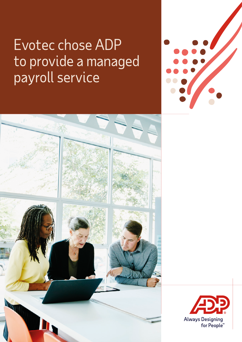# Evotec chose ADP to provide a managed payroll service





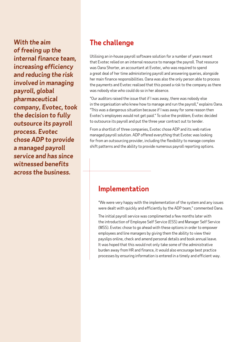*With the aim of freeing up the internal finance team, increasing efficiency and reducing the risk involved in managing payroll, global pharmaceutical company, Evotec, took the decision to fully outsource its payroll process. Evotec chose ADP to provide a managed payroll service and has since witnessed benefits across the business.*

## **The challenge**

Utilising an in-house payroll software solution for a number of years meant that Evotec relied on an internal resource to manage the payroll. That resource was Oana Shorter, an accountant at Evotec, who was required to spend a great deal of her time administering payroll and answering queries, alongside her main finance responsibilities. Oana was also the only person able to process the payments and Evotec realised that this posed a risk to the company as there was nobody else who could do so in her absence.

"Our auditors raised the issue that if I was away, there was nobody else in the organisation who knew how to manage and run the payroll," explains Oana. "This was a dangerous situation because if I was away for some reason then Evotec's employees would not get paid." To solve the problem, Evotec decided to outsource its payroll and put the three year contract out to tender.

From a shortlist of three companies, Evotec chose ADP and its web native managed payroll solution. ADP offered everything that Evotec was looking for from an outsourcing provider, including the flexibility to manage complex shift patterns and the ability to provide numerous payroll reporting options.

#### **Implementation**

"We were very happy with the implementation of the system and any issues were dealt with quickly and efficiently by the ADP team," commented Oana.

The initial payroll service was complimented a few months later with the introduction of Employee Self Service (ESS) and Manager Self Service (MSS). Evotec chose to go ahead with these options in order to empower employees and line managers by giving them the ability to view their payslips online, check and amend personal details and book annual leave. It was hoped that this would not only take some of the administrative burden away from HR and finance, it would also encourage best practice processes by ensuring information is entered in a timely and efficient way.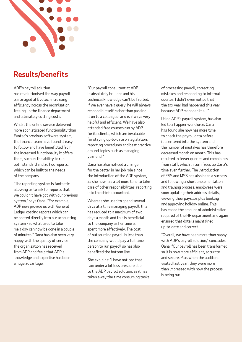

## **Results/benefits**

ADP's payroll solution has revolutionised the way payroll is managed at Evotec, increasing efficiency across the organisation, freeing up the finance department and ultimately cutting costs.

Whilst the online service delivered more sophisticated functionality than Evotec's previous software system, the finance team have found it easy to follow and have benefitted from the increased functionality it offers them, such as the ability to run both standard and ad hoc reports, which can be built to the needs of the company.

"The reporting system is fantastic, allowing us to ask for reports that we couldn't have got with our previous system," says Oana, "For example, ADP now provide us with General Ledger costing reports which can be posted directly into our accounting system - so what used to take me a day can now be done in a couple of minutes." Oana has also been very happy with the quality of service the organisation has received from ADP and feels that ADP's knowledge and expertise has been a huge advantage:

"Our payroll consultant at ADP is absolutely brilliant and his technical knowledge can't be faulted. If we ever have a query, he will always respond himself rather than passing it on to a colleague, and is always very helpful and efficient. We have also attended free courses run by ADP for its clients, which are invaluable for staying up-to-date on legislation, reporting procedures and best practice around topics such as managing year end."

Oana has also noticed a change for the better in her job role since the introduction of the ADP system, as she now has a lot more time to take care of other responsibilities, reporting into the chief accountant.

Whereas she used to spend several days at a time managing payroll, this has reduced to a maximum of two days a month and this is beneficial to the company as her time is spent more effectively. The cost of outsourcing payroll is less than the company would pay a full time person to run payroll so has also benefited the bottom line.

She explains: "I have noticed that I am under a lot less pressure due to the ADP payroll solution, as it has taken away the time consuming tasks of processing payroll, correcting mistakes and responding to internal queries. I didn't even notice that the tax year had happened this year because ADP managed it all!"

Using ADP's payroll system, has also led to a happier workforce. Oana has found she now has more time to check the payroll data before it is entered into the system and the number of mistakes has therefore decreased month on month. This has resulted in fewer queries and complaints from staff, which in turn frees up Oana's time even further. The introduction of ESS and MSS has also been a success and following a short implementation and training process, employees were soon updating their address details, viewing their payslips plus booking and approving holiday online. This has eased the amount of administration required of the HR department and again ensured that data is maintained up‑to‑date and correct.

"Overall, we have been more than happy with ADP's payroll solution," concludes Oana. "Our payroll has been transformed so it is now more efficient, accurate and secure. Plus when the auditors visited last year, they were more than impressed with how the process is being run.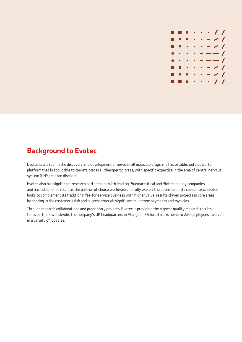

#### **Background to Evotec**

Evotec is a leader in the discovery and development of novel small molecule drugs and has established a powerful platform that is applicable to targets across all therapeutic areas, with specific expertise in the area of central nervous system (CNS) related diseases.

Evotec also has significant research partnerships with leading Pharmaceutical and Biotechnology companies and has established itself as the partner of choice worldwide. To fully exploit the potential of its capabilities, Evotec looks to complement its traditional fee-for-service business with higher value, results-driven projects in core areas by sharing in the customer's risk and success through significant milestone payments and royalties.

Through research collaborations and proprietary projects, Evotec is providing the highest quality research results to its partners worldwide. The company's UK headquarters in Abingdon, Oxfordshire, is home to 230 employees involved in a variety of job roles.